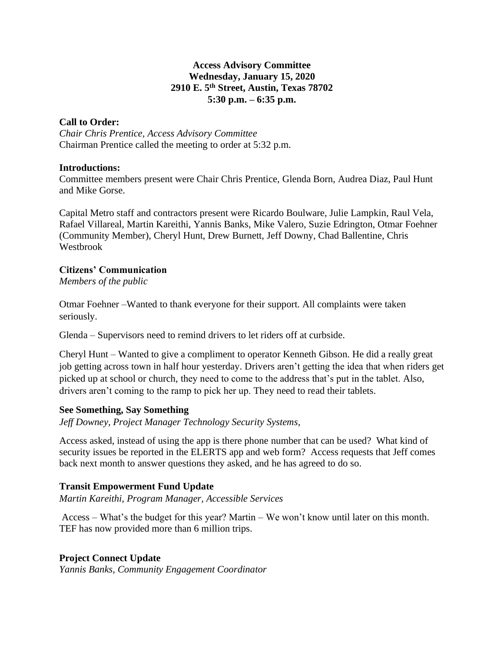### **Access Advisory Committee Wednesday, January 15, 2020 2910 E. 5th Street, Austin, Texas 78702 5:30 p.m. – 6:35 p.m.**

### **Call to Order:**

*Chair Chris Prentice, Access Advisory Committee* Chairman Prentice called the meeting to order at 5:32 p.m.

#### **Introductions:**

Committee members present were Chair Chris Prentice, Glenda Born, Audrea Diaz, Paul Hunt and Mike Gorse.

Capital Metro staff and contractors present were Ricardo Boulware, Julie Lampkin, Raul Vela, Rafael Villareal, Martin Kareithi, Yannis Banks, Mike Valero, Suzie Edrington, Otmar Foehner (Community Member), Cheryl Hunt, Drew Burnett, Jeff Downy, Chad Ballentine, Chris Westbrook

### **Citizens' Communication**

*Members of the public*

Otmar Foehner –Wanted to thank everyone for their support. All complaints were taken seriously.

Glenda – Supervisors need to remind drivers to let riders off at curbside.

Cheryl Hunt – Wanted to give a compliment to operator Kenneth Gibson. He did a really great job getting across town in half hour yesterday. Drivers aren't getting the idea that when riders get picked up at school or church, they need to come to the address that's put in the tablet. Also, drivers aren't coming to the ramp to pick her up. They need to read their tablets.

# **See Something, Say Something**

*Jeff Downey, Project Manager Technology Security Systems,* 

Access asked, instead of using the app is there phone number that can be used? What kind of security issues be reported in the ELERTS app and web form? Access requests that Jeff comes back next month to answer questions they asked, and he has agreed to do so.

# **Transit Empowerment Fund Update**

*Martin Kareithi, Program Manager, Accessible Services*

Access – What's the budget for this year? Martin – We won't know until later on this month. TEF has now provided more than 6 million trips.

# **Project Connect Update**

*Yannis Banks, Community Engagement Coordinator*